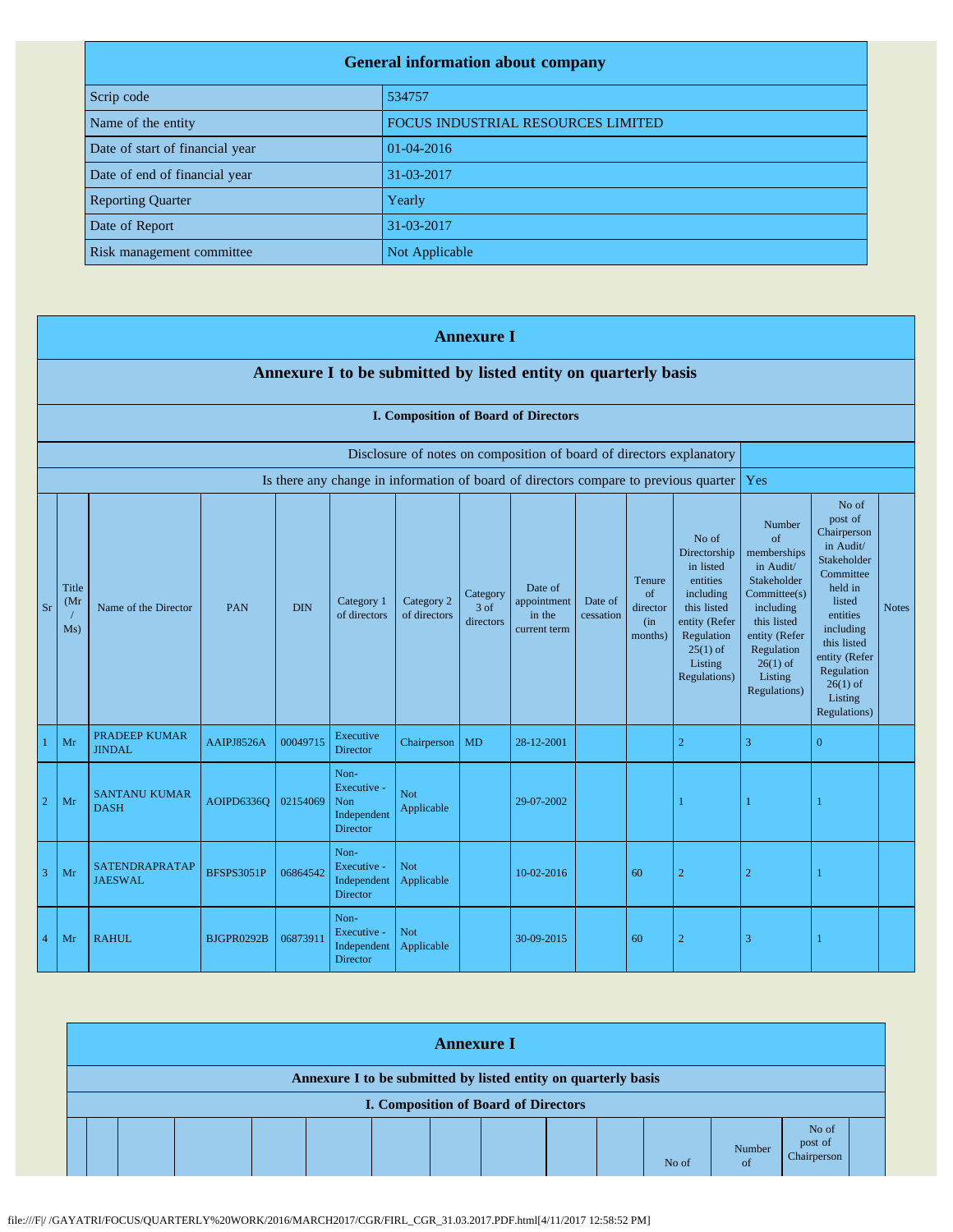| <b>General information about company</b> |                                    |  |  |  |  |
|------------------------------------------|------------------------------------|--|--|--|--|
| Scrip code                               | 534757                             |  |  |  |  |
| Name of the entity                       | FOCUS INDUSTRIAL RESOURCES LIMITED |  |  |  |  |
| Date of start of financial year          | $01-04-2016$                       |  |  |  |  |
| Date of end of financial year            | 31-03-2017                         |  |  |  |  |
| <b>Reporting Quarter</b>                 | Yearly                             |  |  |  |  |
| Date of Report                           | 31-03-2017                         |  |  |  |  |
| Risk management committee                | Not Applicable                     |  |  |  |  |

|                | <b>Annexure I</b>                                              |                                       |                   |            |                                                              |                            |                               |                                                                      |                      |                                             |                                                                                                                                                    |                                                                                                                                                                             |                                                                                                                                                                                                               |              |
|----------------|----------------------------------------------------------------|---------------------------------------|-------------------|------------|--------------------------------------------------------------|----------------------------|-------------------------------|----------------------------------------------------------------------|----------------------|---------------------------------------------|----------------------------------------------------------------------------------------------------------------------------------------------------|-----------------------------------------------------------------------------------------------------------------------------------------------------------------------------|---------------------------------------------------------------------------------------------------------------------------------------------------------------------------------------------------------------|--------------|
|                | Annexure I to be submitted by listed entity on quarterly basis |                                       |                   |            |                                                              |                            |                               |                                                                      |                      |                                             |                                                                                                                                                    |                                                                                                                                                                             |                                                                                                                                                                                                               |              |
|                | I. Composition of Board of Directors                           |                                       |                   |            |                                                              |                            |                               |                                                                      |                      |                                             |                                                                                                                                                    |                                                                                                                                                                             |                                                                                                                                                                                                               |              |
|                |                                                                |                                       |                   |            |                                                              |                            |                               | Disclosure of notes on composition of board of directors explanatory |                      |                                             |                                                                                                                                                    |                                                                                                                                                                             |                                                                                                                                                                                                               |              |
|                |                                                                |                                       |                   |            |                                                              |                            |                               |                                                                      |                      |                                             | Is there any change in information of board of directors compare to previous quarter                                                               | Yes                                                                                                                                                                         |                                                                                                                                                                                                               |              |
| <b>Sr</b>      | Title<br>(Mr)<br>Ms)                                           | Name of the Director                  | <b>PAN</b>        | <b>DIN</b> | Category 1<br>of directors                                   | Category 2<br>of directors | Category<br>3 of<br>directors | Date of<br>appointment<br>in the<br>current term                     | Date of<br>cessation | Tenure<br>of<br>director<br>(in)<br>months) | No of<br>Directorship<br>in listed<br>entities<br>including<br>this listed<br>entity (Refer<br>Regulation<br>$25(1)$ of<br>Listing<br>Regulations) | Number<br>of<br>memberships<br>in Audit/<br>Stakeholder<br>Committee(s)<br>including<br>this listed<br>entity (Refer<br>Regulation<br>$26(1)$ of<br>Listing<br>Regulations) | No of<br>post of<br>Chairperson<br>in Audit/<br>Stakeholder<br>Committee<br>held in<br>listed<br>entities<br>including<br>this listed<br>entity (Refer<br>Regulation<br>$26(1)$ of<br>Listing<br>Regulations) | <b>Notes</b> |
|                | Mr                                                             | <b>PRADEEP KUMAR</b><br><b>JINDAL</b> | AAIPJ8526A        | 00049715   | Executive<br><b>Director</b>                                 | Chairperson                | <b>MD</b>                     | 28-12-2001                                                           |                      |                                             | $\sqrt{2}$                                                                                                                                         | 3                                                                                                                                                                           | $\overline{0}$                                                                                                                                                                                                |              |
| $\overline{2}$ | Mr                                                             | <b>SANTANU KUMAR</b><br><b>DASH</b>   | <b>AOIPD6336O</b> | 02154069   | Non-<br>Executive -<br>Non<br>Independent<br><b>Director</b> | Not<br>Applicable          |                               | 29-07-2002                                                           |                      |                                             | $\mathbf{1}$                                                                                                                                       | -1                                                                                                                                                                          |                                                                                                                                                                                                               |              |
| $\overline{3}$ | Mr                                                             | SATENDRAPRATAP<br><b>JAESWAL</b>      | <b>BFSPS3051P</b> | 06864542   | Non-<br>Executive -<br>Independent<br><b>Director</b>        | <b>Not</b><br>Applicable   |                               | 10-02-2016                                                           |                      | 60                                          | $\overline{2}$                                                                                                                                     | $\overline{2}$                                                                                                                                                              | 1                                                                                                                                                                                                             |              |
| $\overline{4}$ | Mr                                                             | <b>RAHUL</b>                          | BJGPR0292B        | 06873911   | Non-<br>Executive -<br>Independent<br><b>Director</b>        | Not<br>Applicable          |                               | 30-09-2015                                                           |                      | 60                                          | $\overline{2}$                                                                                                                                     | 3                                                                                                                                                                           | 1                                                                                                                                                                                                             |              |

| <b>Annexure I</b>                                                                                      |  |  |  |  |  |  |  |  |  |  |       |                         |                                 |  |
|--------------------------------------------------------------------------------------------------------|--|--|--|--|--|--|--|--|--|--|-------|-------------------------|---------------------------------|--|
| Annexure I to be submitted by listed entity on quarterly basis<br>I. Composition of Board of Directors |  |  |  |  |  |  |  |  |  |  |       |                         |                                 |  |
|                                                                                                        |  |  |  |  |  |  |  |  |  |  | No of | Number<br><sub>of</sub> | No of<br>post of<br>Chairperson |  |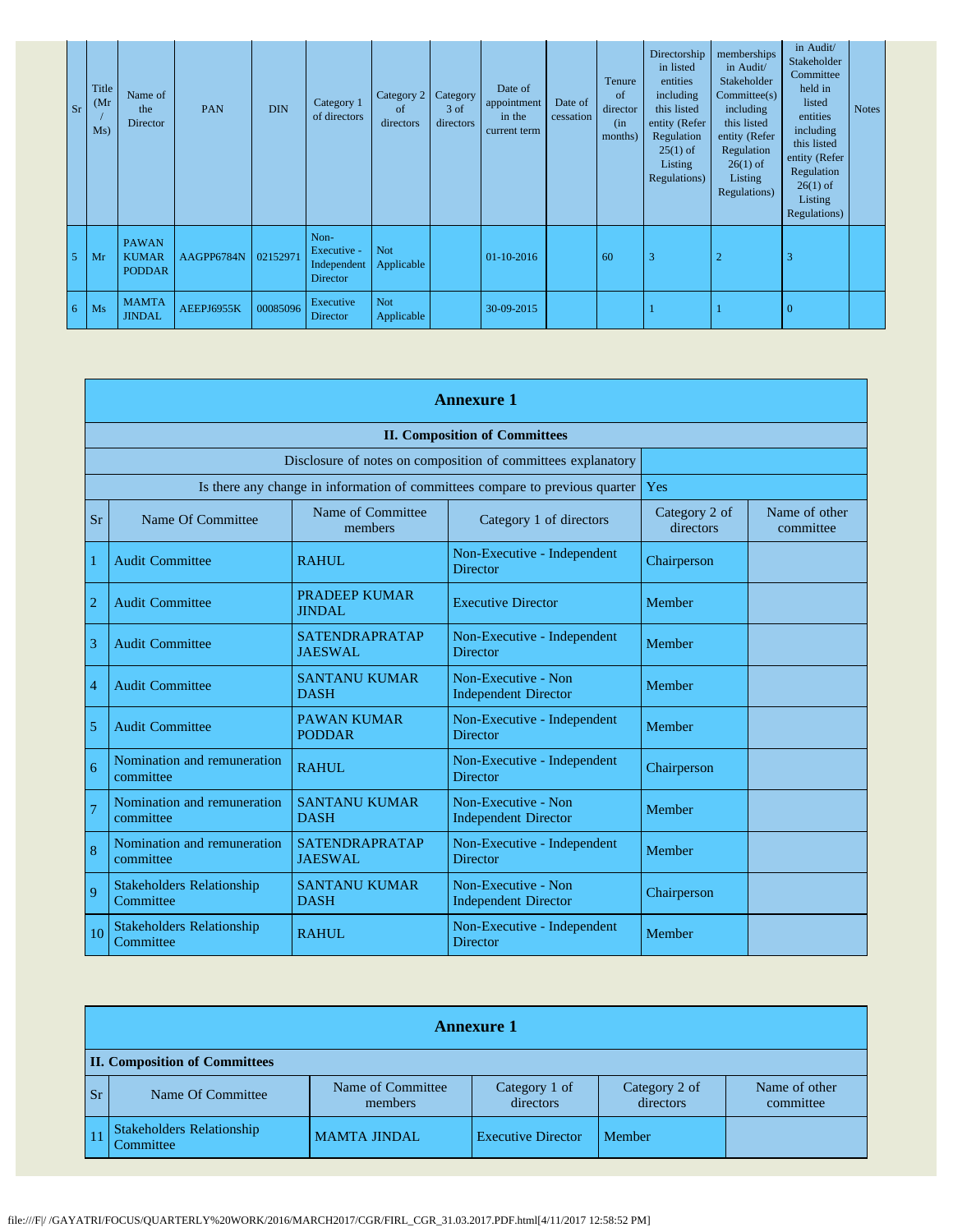| <b>Sr</b>      | Title<br>(Mr)<br>Ms) | Name of<br>the<br>Director                    | PAN        | <b>DIN</b> | Category 1<br>of directors                            | Category 2<br>of<br>directors | Category<br>$3$ of<br>directors | Date of<br>appointment<br>in the<br>current term | Date of<br>cessation | Tenure<br><sub>of</sub><br>director<br>(in)<br>months) | Directorship<br>in listed<br>entities<br>including<br>this listed<br>entity (Refer<br>Regulation<br>$25(1)$ of<br>Listing<br>Regulations) | memberships<br>in Audit/<br>Stakeholder<br>Commitee(s)<br>including<br>this listed<br>entity (Refer<br>Regulation<br>$26(1)$ of<br>Listing<br>Regulations) | in Audit/<br>Stakeholder<br>Committee<br>held in<br>listed<br>entities<br>including<br>this listed<br>entity (Refer<br>Regulation<br>$26(1)$ of<br>Listing<br>Regulations) | <b>Notes</b> |
|----------------|----------------------|-----------------------------------------------|------------|------------|-------------------------------------------------------|-------------------------------|---------------------------------|--------------------------------------------------|----------------------|--------------------------------------------------------|-------------------------------------------------------------------------------------------------------------------------------------------|------------------------------------------------------------------------------------------------------------------------------------------------------------|----------------------------------------------------------------------------------------------------------------------------------------------------------------------------|--------------|
| 5 <sub>1</sub> | Mr                   | <b>PAWAN</b><br><b>KUMAR</b><br><b>PODDAR</b> | AAGPP6784N | 02152971   | Non-<br>Executive -<br>Independent<br><b>Director</b> | <b>Not</b><br>Applicable      |                                 | $01-10-2016$                                     |                      | 60                                                     | 3                                                                                                                                         | $\overline{2}$                                                                                                                                             | 3                                                                                                                                                                          |              |
| $\overline{6}$ | Ms                   | <b>MAMTA</b><br><b>JINDAL</b>                 | AEEPJ6955K | 00085096   | Executive<br><b>Director</b>                          | <b>Not</b><br>Applicable      |                                 | 30-09-2015                                       |                      |                                                        |                                                                                                                                           |                                                                                                                                                            | $\overline{0}$                                                                                                                                                             |              |

|                | <b>Annexure 1</b>                                                            |                                         |                                                              |                            |                            |  |  |  |
|----------------|------------------------------------------------------------------------------|-----------------------------------------|--------------------------------------------------------------|----------------------------|----------------------------|--|--|--|
|                |                                                                              |                                         | <b>II. Composition of Committees</b>                         |                            |                            |  |  |  |
|                |                                                                              |                                         | Disclosure of notes on composition of committees explanatory |                            |                            |  |  |  |
|                | Is there any change in information of committees compare to previous quarter | Yes                                     |                                                              |                            |                            |  |  |  |
| Sr             | Name Of Committee                                                            | Name of Committee<br>members            | Category 1 of directors                                      | Category 2 of<br>directors | Name of other<br>committee |  |  |  |
| 1              | <b>Audit Committee</b>                                                       | RAHUL.                                  | Non-Executive - Independent<br><b>Director</b>               | Chairperson                |                            |  |  |  |
| $\overline{2}$ | <b>Audit Committee</b>                                                       | <b>PRADEEP KUMAR</b><br><b>JINDAL</b>   | <b>Executive Director</b>                                    | Member                     |                            |  |  |  |
| 3              | <b>Audit Committee</b>                                                       | <b>SATENDRAPRATAP</b><br>JAESWAL.       | Non-Executive - Independent<br><b>Director</b>               | Member                     |                            |  |  |  |
| $\overline{4}$ | <b>Audit Committee</b>                                                       | <b>SANTANU KUMAR</b><br><b>DASH</b>     | Non-Executive - Non<br><b>Independent Director</b>           | Member                     |                            |  |  |  |
| 5              | <b>Audit Committee</b>                                                       | <b>PAWAN KUMAR</b><br><b>PODDAR</b>     | Non-Executive - Independent<br><b>Director</b>               | Member                     |                            |  |  |  |
| 6              | Nomination and remuneration<br>committee                                     | RAHUL                                   | Non-Executive - Independent<br><b>Director</b>               | Chairperson                |                            |  |  |  |
| $\overline{7}$ | Nomination and remuneration<br>committee                                     | <b>SANTANU KUMAR</b><br><b>DASH</b>     | Non-Executive - Non<br><b>Independent Director</b>           | Member                     |                            |  |  |  |
| 8              | Nomination and remuneration<br>committee                                     | <b>SATENDRAPRATAP</b><br><b>JAESWAL</b> | Non-Executive - Independent<br><b>Director</b>               | Member                     |                            |  |  |  |
| 9              | <b>Stakeholders Relationship</b><br>Committee                                | <b>SANTANU KUMAR</b><br><b>DASH</b>     | Non-Executive - Non<br><b>Independent Director</b>           | Chairperson                |                            |  |  |  |
| 10             | <b>Stakeholders Relationship</b><br>Committee                                | <b>RAHUL</b>                            | Non-Executive - Independent<br><b>Director</b>               | Member                     |                            |  |  |  |

|           | <b>Annexure 1</b>                             |                              |                            |                            |                            |  |  |  |  |
|-----------|-----------------------------------------------|------------------------------|----------------------------|----------------------------|----------------------------|--|--|--|--|
|           | <b>II. Composition of Committees</b>          |                              |                            |                            |                            |  |  |  |  |
| <b>Sr</b> | Name Of Committee                             | Name of Committee<br>members | Category 1 of<br>directors | Category 2 of<br>directors | Name of other<br>committee |  |  |  |  |
|           | <b>Stakeholders Relationship</b><br>Committee | <b>MAMTA JINDAL</b>          | <b>Executive Director</b>  | Member                     |                            |  |  |  |  |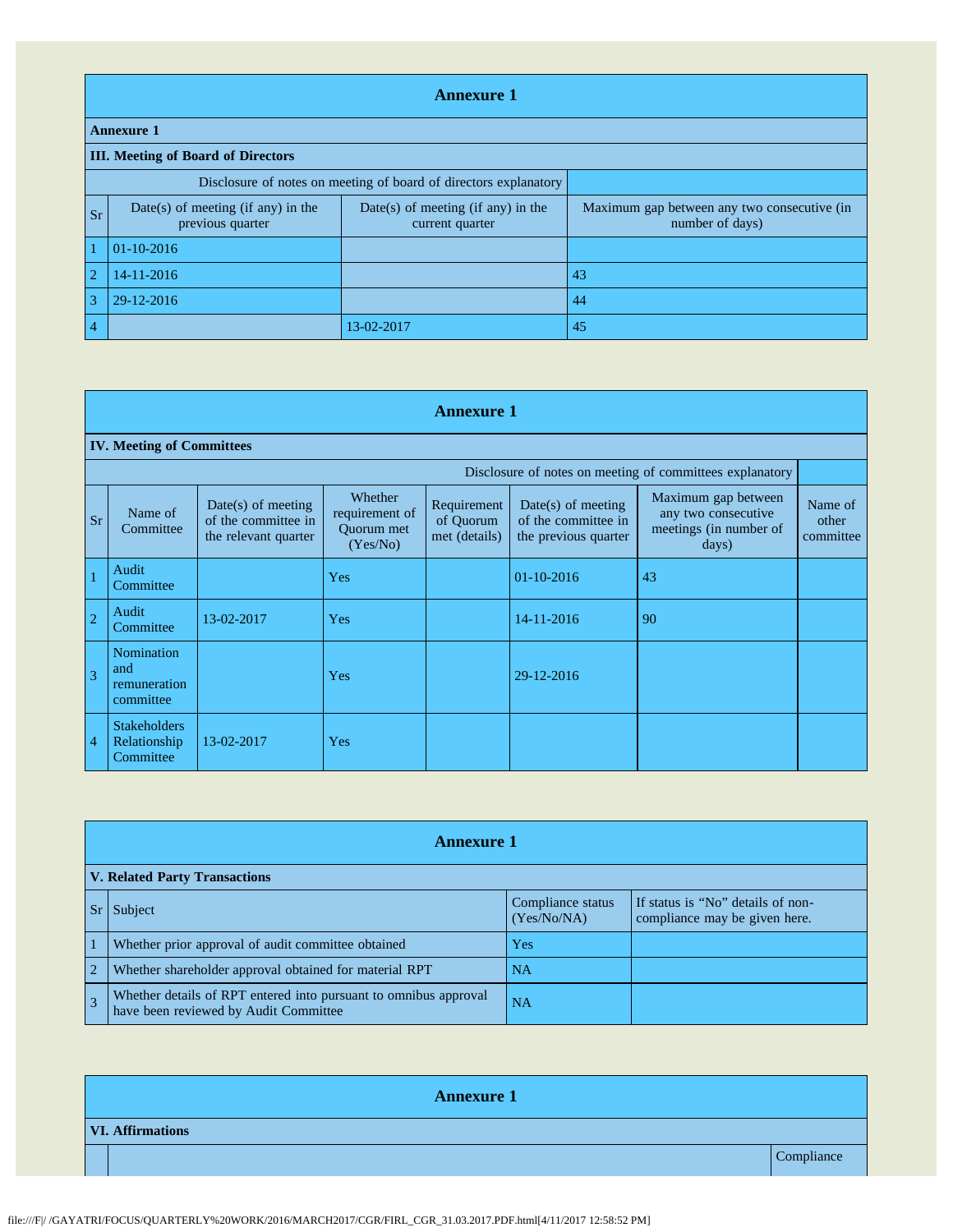|                | <b>Annexure 1</b>                                                |                                                         |                                                                |  |  |  |  |  |  |
|----------------|------------------------------------------------------------------|---------------------------------------------------------|----------------------------------------------------------------|--|--|--|--|--|--|
|                | <b>Annexure 1</b>                                                |                                                         |                                                                |  |  |  |  |  |  |
|                | <b>III.</b> Meeting of Board of Directors                        |                                                         |                                                                |  |  |  |  |  |  |
|                | Disclosure of notes on meeting of board of directors explanatory |                                                         |                                                                |  |  |  |  |  |  |
| <b>Sr</b>      | $Date(s)$ of meeting (if any) in the<br>previous quarter         | $Date(s)$ of meeting (if any) in the<br>current quarter | Maximum gap between any two consecutive (in<br>number of days) |  |  |  |  |  |  |
|                | $01-10-2016$                                                     |                                                         |                                                                |  |  |  |  |  |  |
| $\overline{2}$ | 14-11-2016                                                       |                                                         | 43                                                             |  |  |  |  |  |  |
| 3              | 29-12-2016                                                       |                                                         | 44                                                             |  |  |  |  |  |  |
| $\overline{4}$ |                                                                  | 13-02-2017                                              | 45                                                             |  |  |  |  |  |  |

|                | <b>Annexure 1</b>                                        |                                                                   |                                                     |                                           |                                                                     |                                                                                          |                               |  |  |  |
|----------------|----------------------------------------------------------|-------------------------------------------------------------------|-----------------------------------------------------|-------------------------------------------|---------------------------------------------------------------------|------------------------------------------------------------------------------------------|-------------------------------|--|--|--|
|                | <b>IV. Meeting of Committees</b>                         |                                                                   |                                                     |                                           |                                                                     |                                                                                          |                               |  |  |  |
|                | Disclosure of notes on meeting of committees explanatory |                                                                   |                                                     |                                           |                                                                     |                                                                                          |                               |  |  |  |
| <b>Sr</b>      | Name of<br>Committee                                     | Date(s) of meeting<br>of the committee in<br>the relevant quarter | Whether<br>requirement of<br>Quorum met<br>(Yes/No) | Requirement<br>of Ouorum<br>met (details) | $Date(s)$ of meeting<br>of the committee in<br>the previous quarter | Maximum gap between<br>any two consecutive<br>meetings (in number of<br>$\frac{days}{ }$ | Name of<br>other<br>committee |  |  |  |
|                | Audit<br>Committee                                       |                                                                   | Yes                                                 |                                           | $01-10-2016$                                                        | 43                                                                                       |                               |  |  |  |
| $\overline{2}$ | Audit<br>Committee                                       | 13-02-2017                                                        | Yes                                                 |                                           | 14-11-2016                                                          | 90                                                                                       |                               |  |  |  |
| 3              | Nomination<br>and<br>remuneration<br>committee           |                                                                   | Yes                                                 |                                           | 29-12-2016                                                          |                                                                                          |                               |  |  |  |
| 4              | <b>Stakeholders</b><br>Relationship<br>Committee         | 13-02-2017                                                        | Yes                                                 |                                           |                                                                     |                                                                                          |                               |  |  |  |

|                | <b>Annexure 1</b>                                                                                         |                                  |                                                                    |  |  |  |  |  |
|----------------|-----------------------------------------------------------------------------------------------------------|----------------------------------|--------------------------------------------------------------------|--|--|--|--|--|
|                | <b>V. Related Party Transactions</b>                                                                      |                                  |                                                                    |  |  |  |  |  |
|                | Sr Subject                                                                                                | Compliance status<br>(Yes/No/NA) | If status is "No" details of non-<br>compliance may be given here. |  |  |  |  |  |
|                | Whether prior approval of audit committee obtained                                                        | Yes                              |                                                                    |  |  |  |  |  |
| $\overline{2}$ | Whether shareholder approval obtained for material RPT                                                    | <b>NA</b>                        |                                                                    |  |  |  |  |  |
| $\overline{3}$ | Whether details of RPT entered into pursuant to omnibus approval<br>have been reviewed by Audit Committee | <b>NA</b>                        |                                                                    |  |  |  |  |  |

| <b>Annexure 1</b>       |            |  |  |  |  |  |
|-------------------------|------------|--|--|--|--|--|
| <b>VI. Affirmations</b> |            |  |  |  |  |  |
|                         | Compliance |  |  |  |  |  |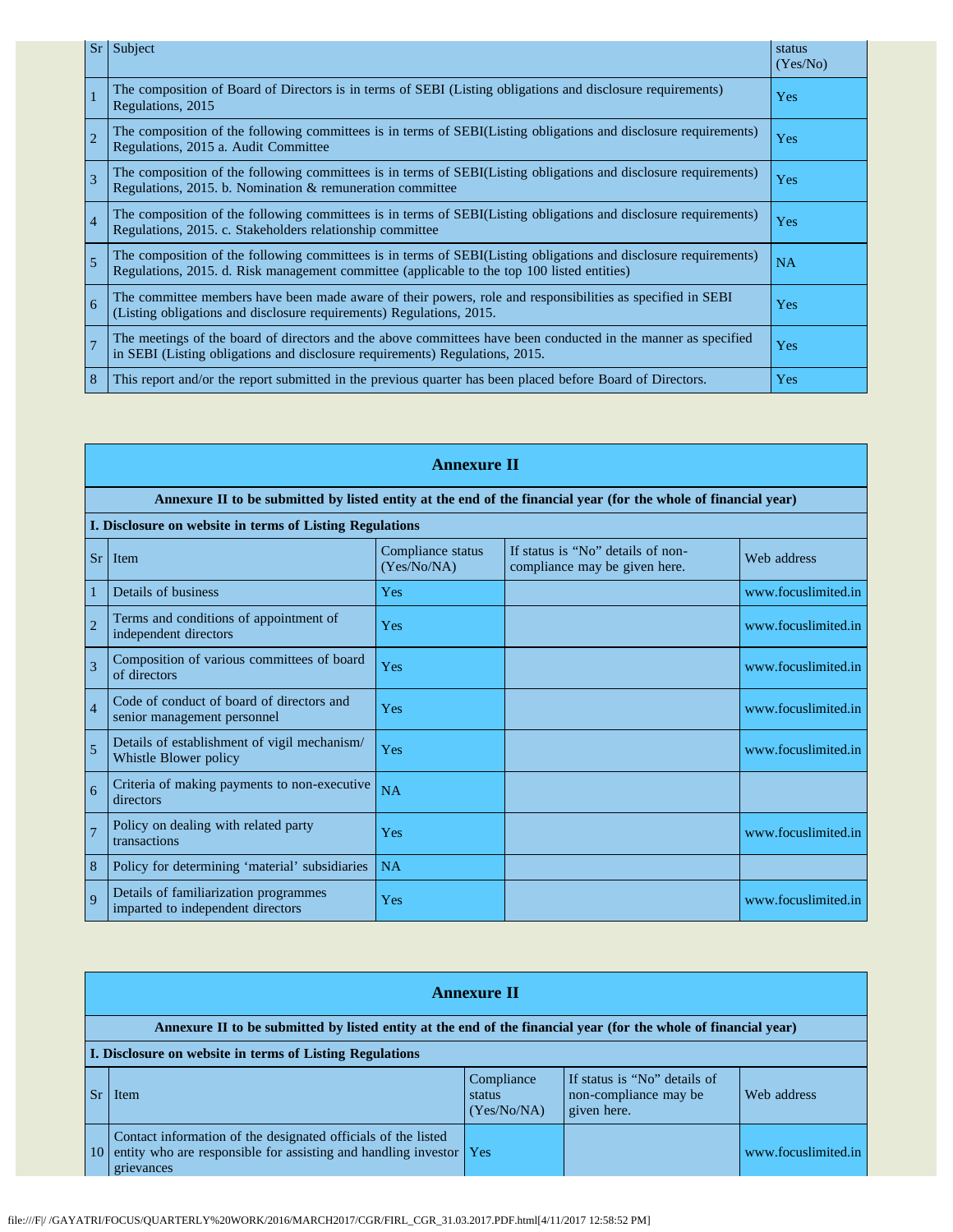| Sr             | Subject                                                                                                                                                                                                         | status<br>(Yes/No) |
|----------------|-----------------------------------------------------------------------------------------------------------------------------------------------------------------------------------------------------------------|--------------------|
|                | The composition of Board of Directors is in terms of SEBI (Listing obligations and disclosure requirements)<br>Regulations, 2015                                                                                | Yes                |
| $\overline{2}$ | The composition of the following committees is in terms of SEBI(Listing obligations and disclosure requirements)<br>Regulations, 2015 a. Audit Committee                                                        | $\rm Yes$          |
| 3              | The composition of the following committees is in terms of SEBI(Listing obligations and disclosure requirements)<br>Regulations, 2015. b. Nomination & remuneration committee                                   | Yes                |
| $\overline{4}$ | The composition of the following committees is in terms of SEBI(Listing obligations and disclosure requirements)<br>Regulations, 2015. c. Stakeholders relationship committee                                   | Yes                |
| 5              | The composition of the following committees is in terms of SEBI(Listing obligations and disclosure requirements)<br>Regulations, 2015. d. Risk management committee (applicable to the top 100 listed entities) | NA                 |
| 6              | The committee members have been made aware of their powers, role and responsibilities as specified in SEBI<br>(Listing obligations and disclosure requirements) Regulations, 2015.                              | Yes                |
| $\overline{7}$ | The meetings of the board of directors and the above committees have been conducted in the manner as specified<br>in SEBI (Listing obligations and disclosure requirements) Regulations, 2015.                  | Yes                |
| 8              | This report and/or the report submitted in the previous quarter has been placed before Board of Directors.                                                                                                      | Yes                |

|                | <b>Annexure II</b>                                                                                              |                                  |                                                                    |                     |  |  |  |  |  |
|----------------|-----------------------------------------------------------------------------------------------------------------|----------------------------------|--------------------------------------------------------------------|---------------------|--|--|--|--|--|
|                | Annexure II to be submitted by listed entity at the end of the financial year (for the whole of financial year) |                                  |                                                                    |                     |  |  |  |  |  |
|                | I. Disclosure on website in terms of Listing Regulations                                                        |                                  |                                                                    |                     |  |  |  |  |  |
| Sr             | Item                                                                                                            | Compliance status<br>(Yes/No/NA) | If status is "No" details of non-<br>compliance may be given here. | Web address         |  |  |  |  |  |
|                | Details of business                                                                                             | Yes                              |                                                                    | www.focuslimited.in |  |  |  |  |  |
| $\overline{2}$ | Terms and conditions of appointment of<br>independent directors                                                 | Yes                              |                                                                    | www.focuslimited.in |  |  |  |  |  |
| 3              | Composition of various committees of board<br>of directors                                                      | Yes                              |                                                                    | www.focuslimited.in |  |  |  |  |  |
| $\overline{4}$ | Code of conduct of board of directors and<br>senior management personnel                                        | Yes                              |                                                                    | www.focuslimited.in |  |  |  |  |  |
| 5              | Details of establishment of vigil mechanism/<br>Whistle Blower policy                                           | <b>Yes</b>                       |                                                                    | www.focuslimited.in |  |  |  |  |  |
| 6              | Criteria of making payments to non-executive<br>directors                                                       | <b>NA</b>                        |                                                                    |                     |  |  |  |  |  |
| $\overline{7}$ | Policy on dealing with related party<br>transactions                                                            | Yes                              |                                                                    | www.focuslimited.in |  |  |  |  |  |
| 8              | Policy for determining 'material' subsidiaries                                                                  | NA                               |                                                                    |                     |  |  |  |  |  |
| $\overline{Q}$ | Details of familiarization programmes<br>imparted to independent directors                                      | Yes                              |                                                                    | www.focuslimited.in |  |  |  |  |  |

|    | <b>Annexure II</b>                                                                                                                                  |                                     |                                                                      |                     |  |
|----|-----------------------------------------------------------------------------------------------------------------------------------------------------|-------------------------------------|----------------------------------------------------------------------|---------------------|--|
|    | Annexure II to be submitted by listed entity at the end of the financial year (for the whole of financial year)                                     |                                     |                                                                      |                     |  |
|    | I. Disclosure on website in terms of Listing Regulations                                                                                            |                                     |                                                                      |                     |  |
|    | Item                                                                                                                                                | Compliance<br>status<br>(Yes/No/NA) | If status is "No" details of<br>non-compliance may be<br>given here. | Web address         |  |
| 10 | Contact information of the designated officials of the listed<br>entity who are responsible for assisting and handling investor   Yes<br>grievances |                                     |                                                                      | www.focuslimited.in |  |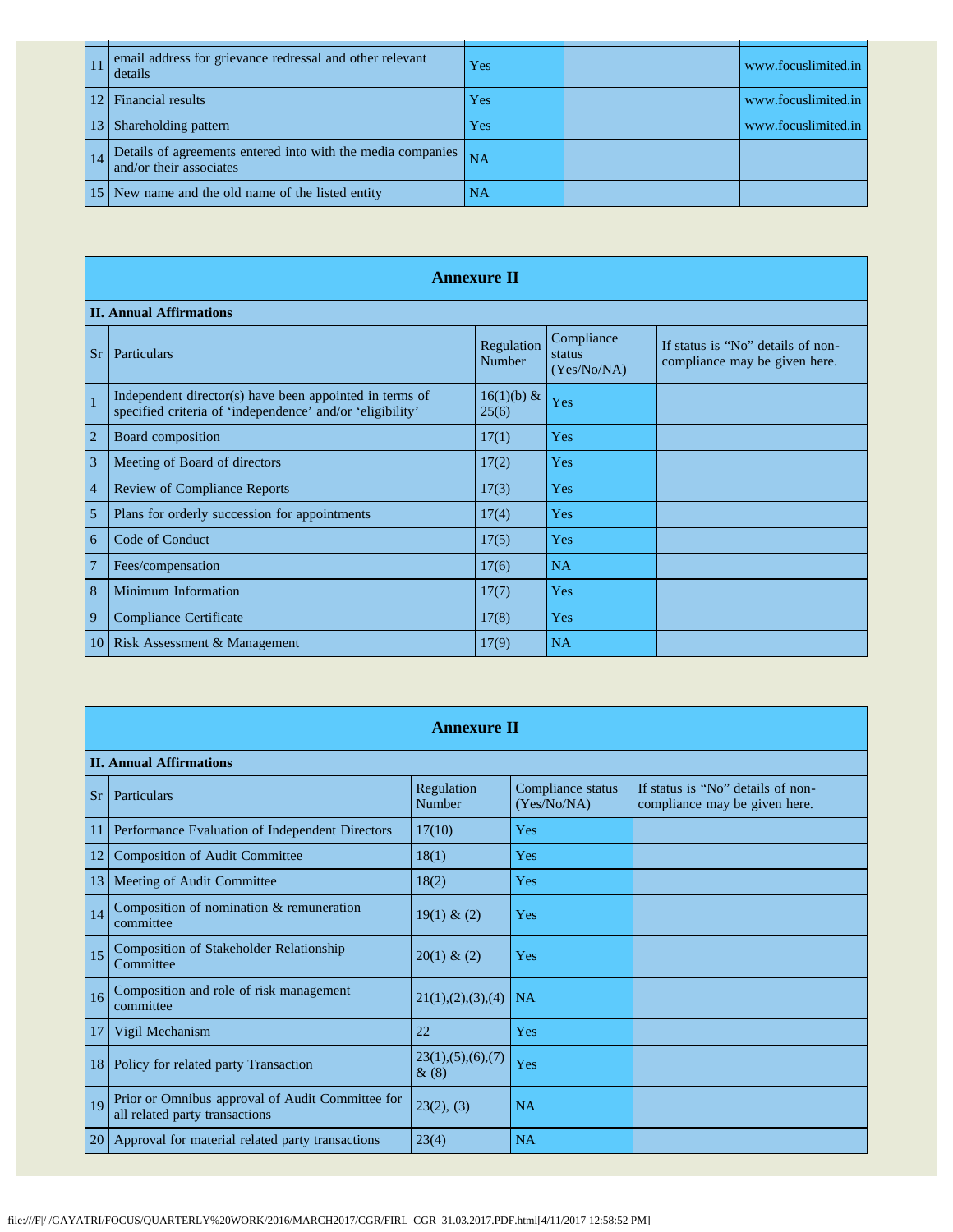|    | email address for grievance redressal and other relevant<br>details                    | Yes       | www.focuslimited.in |
|----|----------------------------------------------------------------------------------------|-----------|---------------------|
|    | <b>Financial results</b>                                                               | Yes       | www.focuslimited.in |
|    | Shareholding pattern                                                                   | Yes       | www.focuslimited.in |
| 14 | Details of agreements entered into with the media companies<br>and/or their associates | <b>NA</b> |                     |
|    | New name and the old name of the listed entity                                         | <b>NA</b> |                     |

|                | <b>Annexure II</b>                                                                                                   |                        |                                     |                                                                    |  |
|----------------|----------------------------------------------------------------------------------------------------------------------|------------------------|-------------------------------------|--------------------------------------------------------------------|--|
|                | <b>II. Annual Affirmations</b>                                                                                       |                        |                                     |                                                                    |  |
| <b>Sr</b>      | Particulars                                                                                                          | Regulation<br>Number   | Compliance<br>status<br>(Yes/No/NA) | If status is "No" details of non-<br>compliance may be given here. |  |
| $\mathbf{1}$   | Independent director(s) have been appointed in terms of<br>specified criteria of 'independence' and/or 'eligibility' | $16(1)(b) \&$<br>25(6) | Yes                                 |                                                                    |  |
| $\overline{2}$ | Board composition                                                                                                    | 17(1)                  | Yes                                 |                                                                    |  |
| 3              | Meeting of Board of directors                                                                                        | 17(2)                  | Yes                                 |                                                                    |  |
| $\overline{4}$ | <b>Review of Compliance Reports</b>                                                                                  | 17(3)                  | Yes                                 |                                                                    |  |
| 5              | Plans for orderly succession for appointments                                                                        | 17(4)                  | Yes                                 |                                                                    |  |
| 6              | Code of Conduct                                                                                                      | 17(5)                  | Yes                                 |                                                                    |  |
| $\overline{7}$ | Fees/compensation                                                                                                    | 17(6)                  | <b>NA</b>                           |                                                                    |  |
| 8              | Minimum Information                                                                                                  | 17(7)                  | Yes                                 |                                                                    |  |
| 9              | Compliance Certificate                                                                                               | 17(8)                  | Yes                                 |                                                                    |  |
| 10             | Risk Assessment & Management                                                                                         | 17(9)                  | NA                                  |                                                                    |  |

|               | <b>Annexure II</b>                                                                 |                                 |                                  |                                                                    |  |
|---------------|------------------------------------------------------------------------------------|---------------------------------|----------------------------------|--------------------------------------------------------------------|--|
|               | <b>II. Annual Affirmations</b>                                                     |                                 |                                  |                                                                    |  |
| <b>Sr</b>     | Particulars                                                                        | Regulation<br>Number            | Compliance status<br>(Yes/No/NA) | If status is "No" details of non-<br>compliance may be given here. |  |
| 11            | Performance Evaluation of Independent Directors                                    | 17(10)                          | Yes                              |                                                                    |  |
| 12            | <b>Composition of Audit Committee</b>                                              | 18(1)                           | Yes                              |                                                                    |  |
| 13            | Meeting of Audit Committee                                                         | 18(2)                           | Yes                              |                                                                    |  |
| 14            | Composition of nomination & remuneration<br>committee                              | 19(1) & (2)                     | Yes                              |                                                                    |  |
| 15            | <b>Composition of Stakeholder Relationship</b><br>Committee                        | $20(1)$ & (2)                   | Yes                              |                                                                    |  |
| 16            | Composition and role of risk management<br>committee                               | 21(1), (2), (3), (4)            | <b>NA</b>                        |                                                                    |  |
| 17            | Vigil Mechanism                                                                    | 22                              | Yes                              |                                                                    |  |
| 18            | Policy for related party Transaction                                               | 23(1), (5), (6), (7)<br>$\&(8)$ | Yes                              |                                                                    |  |
| 19            | Prior or Omnibus approval of Audit Committee for<br>all related party transactions | 23(2), (3)                      | <b>NA</b>                        |                                                                    |  |
| <sup>20</sup> | Approval for material related party transactions                                   | 23(4)                           | <b>NA</b>                        |                                                                    |  |